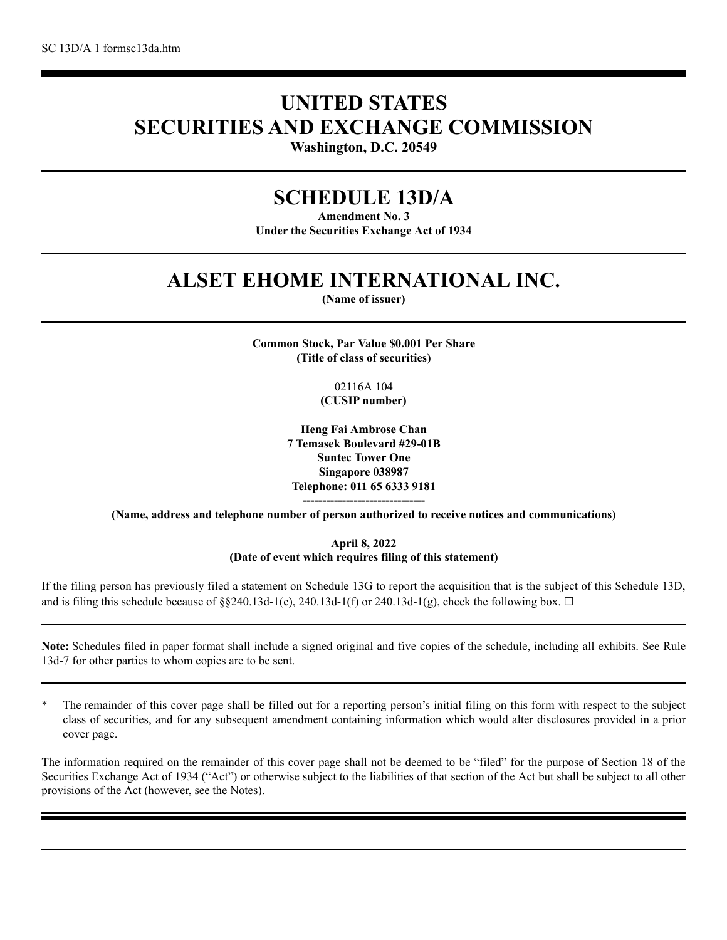# **UNITED STATES SECURITIES AND EXCHANGE COMMISSION**

**Washington, D.C. 20549**

# **SCHEDULE 13D/A**

**Amendment No. 3 Under the Securities Exchange Act of 1934**

# **ALSET EHOME INTERNATIONAL INC.**

**(Name of issuer)**

**Common Stock, Par Value \$0.001 Per Share (Title of class of securities)**

> 02116A 104 **(CUSIP number)**

**Heng Fai Ambrose Chan 7 Temasek Boulevard #29-01B Suntec Tower One Singapore 038987 Telephone: 011 65 6333 9181 -------------------------------**

**(Name, address and telephone number of person authorized to receive notices and communications)**

**April 8, 2022 (Date of event which requires filing of this statement)**

If the filing person has previously filed a statement on Schedule 13G to report the acquisition that is the subject of this Schedule 13D, and is filing this schedule because of §§240.13d-1(e), 240.13d-1(f) or 240.13d-1(g), check the following box.  $\Box$ 

**Note:** Schedules filed in paper format shall include a signed original and five copies of the schedule, including all exhibits. See Rule 13d-7 for other parties to whom copies are to be sent.

\* The remainder of this cover page shall be filled out for a reporting person's initial filing on this form with respect to the subject class of securities, and for any subsequent amendment containing information which would alter disclosures provided in a prior cover page.

The information required on the remainder of this cover page shall not be deemed to be "filed" for the purpose of Section 18 of the Securities Exchange Act of 1934 ("Act") or otherwise subject to the liabilities of that section of the Act but shall be subject to all other provisions of the Act (however, see the Notes).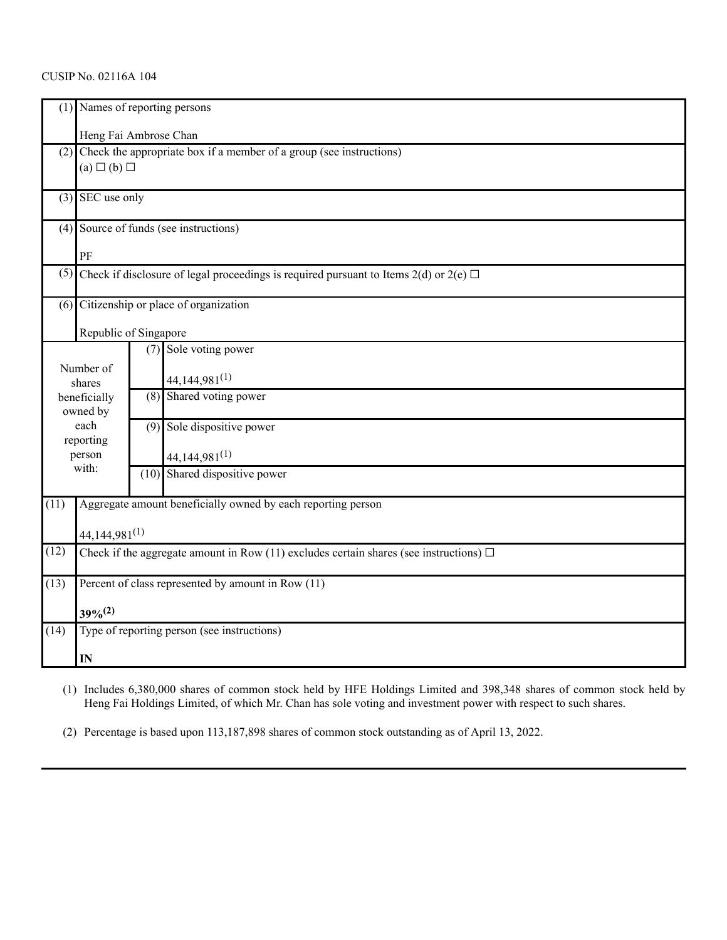# CUSIP No. 02116A 104

|                   | (1) Names of reporting persons                                                              |     |                                                              |  |  |
|-------------------|---------------------------------------------------------------------------------------------|-----|--------------------------------------------------------------|--|--|
|                   | Heng Fai Ambrose Chan                                                                       |     |                                                              |  |  |
|                   | $(2)$ Check the appropriate box if a member of a group (see instructions)                   |     |                                                              |  |  |
|                   | $(a) \Box (b) \Box$                                                                         |     |                                                              |  |  |
|                   | $(3)$ SEC use only                                                                          |     |                                                              |  |  |
|                   | (4) Source of funds (see instructions)                                                      |     |                                                              |  |  |
|                   | PF                                                                                          |     |                                                              |  |  |
| (5)               | Check if disclosure of legal proceedings is required pursuant to Items 2(d) or 2(e) $\Box$  |     |                                                              |  |  |
|                   | (6) Citizenship or place of organization                                                    |     |                                                              |  |  |
|                   | Republic of Singapore                                                                       |     |                                                              |  |  |
|                   |                                                                                             |     | (7) Sole voting power                                        |  |  |
|                   | Number of                                                                                   |     |                                                              |  |  |
| shares            |                                                                                             |     | $44,144,981^{(1)}$                                           |  |  |
|                   | beneficially                                                                                | (8) | Shared voting power                                          |  |  |
|                   | owned by                                                                                    |     |                                                              |  |  |
| each<br>reporting |                                                                                             |     | (9) Sole dispositive power                                   |  |  |
| person            |                                                                                             |     | $44,144,981^{(1)}$                                           |  |  |
|                   | with:                                                                                       |     | (10) Shared dispositive power                                |  |  |
|                   |                                                                                             |     |                                                              |  |  |
| (11)              |                                                                                             |     | Aggregate amount beneficially owned by each reporting person |  |  |
|                   | $44,144,981^{(1)}$                                                                          |     |                                                              |  |  |
| (12)              | Check if the aggregate amount in Row (11) excludes certain shares (see instructions) $\Box$ |     |                                                              |  |  |
| (13)              | Percent of class represented by amount in Row (11)                                          |     |                                                              |  |  |
|                   | $39%^{(2)}$                                                                                 |     |                                                              |  |  |
| (14)              | Type of reporting person (see instructions)                                                 |     |                                                              |  |  |
|                   | IN                                                                                          |     |                                                              |  |  |

(1) Includes 6,380,000 shares of common stock held by HFE Holdings Limited and 398,348 shares of common stock held by Heng Fai Holdings Limited, of which Mr. Chan has sole voting and investment power with respect to such shares.

(2) Percentage is based upon 113,187,898 shares of common stock outstanding as of April 13, 2022.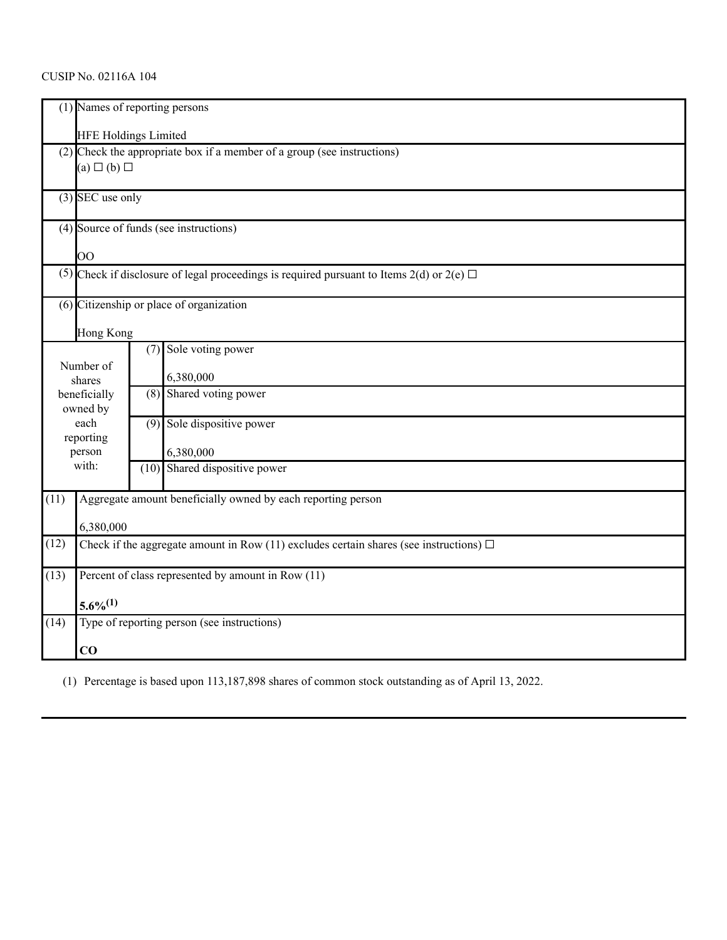# CUSIP No. 02116A 104

|                             |                                                                                             | (1) Names of reporting persons<br>HFE Holdings Limited                                         |  |  |  |
|-----------------------------|---------------------------------------------------------------------------------------------|------------------------------------------------------------------------------------------------|--|--|--|
|                             | $(a) \Box (b) \Box$                                                                         | (2) Check the appropriate box if a member of a group (see instructions)                        |  |  |  |
|                             | $(3)$ SEC use only                                                                          |                                                                                                |  |  |  |
|                             |                                                                                             | (4) Source of funds (see instructions)                                                         |  |  |  |
|                             | $\overline{O}O$                                                                             |                                                                                                |  |  |  |
|                             |                                                                                             | (5) Check if disclosure of legal proceedings is required pursuant to Items 2(d) or 2(e) $\Box$ |  |  |  |
|                             | (6) Citizenship or place of organization                                                    |                                                                                                |  |  |  |
|                             | Hong Kong                                                                                   |                                                                                                |  |  |  |
| Number of<br>shares         |                                                                                             | Sole voting power<br>(7)<br>6,380,000                                                          |  |  |  |
| beneficially<br>owned by    |                                                                                             | Shared voting power<br>(8)                                                                     |  |  |  |
| each<br>reporting<br>person |                                                                                             | Sole dispositive power<br>(9)<br>6,380,000                                                     |  |  |  |
| with:                       |                                                                                             | Shared dispositive power<br>(10)                                                               |  |  |  |
| (11)                        |                                                                                             | Aggregate amount beneficially owned by each reporting person                                   |  |  |  |
|                             | 6,380,000                                                                                   |                                                                                                |  |  |  |
| (12)                        | Check if the aggregate amount in Row (11) excludes certain shares (see instructions) $\Box$ |                                                                                                |  |  |  |
| (13)                        | Percent of class represented by amount in Row (11)                                          |                                                                                                |  |  |  |
|                             | $5.6\%^{(1)}$                                                                               |                                                                                                |  |  |  |
| (14)                        | Type of reporting person (see instructions)                                                 |                                                                                                |  |  |  |
|                             | $\bf{CO}$                                                                                   |                                                                                                |  |  |  |

(1) Percentage is based upon 113,187,898 shares of common stock outstanding as of April 13, 2022.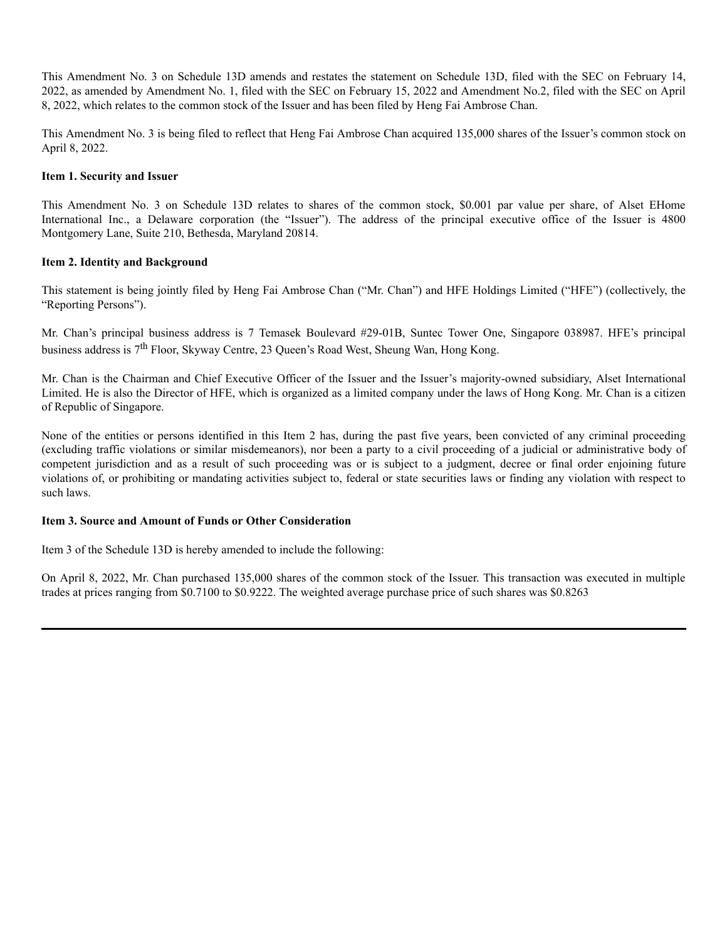This Amendment No. 3 on Schedule 13D amends and restates the statement on Schedule 13D, filed with the SEC on February 14, 2022, as amended by Amendment No. 1, filed with the SEC on February 15, 2022 and Amendment No.2, filed with the SEC on April 8, 2022, which relates to the common stock of the Issuer and has been filed by Heng Fai Ambrose Chan.

This Amendment No. 3 is being filed to reflect that Heng Fai Ambrose Chan acquired 135,000 shares of the Issuer's common stock on April 8, 2022.

### **Item 1. Security and Issuer**

This Amendment No. 3 on Schedule 13D relates to shares of the common stock, \$0.001 par value per share, of Alset EHome International Inc., a Delaware corporation (the "Issuer"). The address of the principal executive office of the Issuer is 4800 Montgomery Lane, Suite 210, Bethesda, Maryland 20814.

#### **Item 2. Identity and Background**

This statement is being jointly filed by Heng Fai Ambrose Chan ("Mr. Chan") and HFE Holdings Limited ("HFE") (collectively, the "Reporting Persons").

Mr. Chan's principal business address is 7 Temasek Boulevard #29-01B, Suntec Tower One, Singapore 038987. HFE's principal business address is 7<sup>th</sup> Floor, Skyway Centre, 23 Queen's Road West, Sheung Wan, Hong Kong.

Mr. Chan is the Chairman and Chief Executive Officer of the Issuer and the Issuer's majority-owned subsidiary, Alset International Limited. He is also the Director of HFE, which is organized as a limited company under the laws of Hong Kong. Mr. Chan is a citizen of Republic of Singapore.

None of the entities or persons identified in this Item 2 has, during the past five years, been convicted of any criminal proceeding (excluding traffic violations or similar misdemeanors), nor been a party to a civil proceeding of a judicial or administrative body of competent jurisdiction and as a result of such proceeding was or is subject to a judgment, decree or final order enjoining future violations of, or prohibiting or mandating activities subject to, federal or state securities laws or finding any violation with respect to such laws.

#### **Item 3. Source and Amount of Funds or Other Consideration**

Item 3 of the Schedule 13D is hereby amended to include the following:

On April 8, 2022, Mr. Chan purchased 135,000 shares of the common stock of the Issuer. This transaction was executed in multiple trades at prices ranging from \$0.7100 to \$0.9222. The weighted average purchase price of such shares was \$0.8263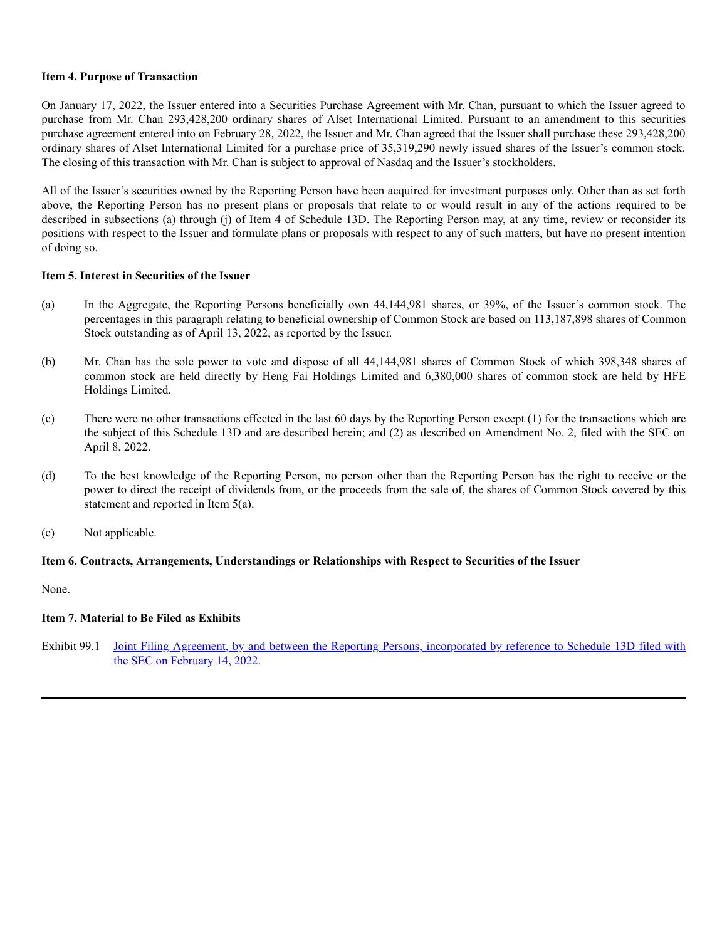# **Item 4. Purpose of Transaction**

On January 17, 2022, the Issuer entered into a Securities Purchase Agreement with Mr. Chan, pursuant to which the Issuer agreed to purchase from Mr. Chan 293,428,200 ordinary shares of Alset International Limited. Pursuant to an amendment to this securities purchase agreement entered into on February 28, 2022, the Issuer and Mr. Chan agreed that the Issuer shall purchase these 293,428,200 ordinary shares of Alset International Limited for a purchase price of 35,319,290 newly issued shares of the Issuer's common stock. The closing of this transaction with Mr. Chan is subject to approval of Nasdaq and the Issuer's stockholders.

All of the Issuer's securities owned by the Reporting Person have been acquired for investment purposes only. Other than as set forth above, the Reporting Person has no present plans or proposals that relate to or would result in any of the actions required to be described in subsections (a) through (j) of Item 4 of Schedule 13D. The Reporting Person may, at any time, review or reconsider its positions with respect to the Issuer and formulate plans or proposals with respect to any of such matters, but have no present intention of doing so.

#### **Item 5. Interest in Securities of the Issuer**

- (a) In the Aggregate, the Reporting Persons beneficially own 44,144,981 shares, or 39%, of the Issuer's common stock. The percentages in this paragraph relating to beneficial ownership of Common Stock are based on 113,187,898 shares of Common Stock outstanding as of April 13, 2022, as reported by the Issuer.
- (b) Mr. Chan has the sole power to vote and dispose of all 44,144,981 shares of Common Stock of which 398,348 shares of common stock are held directly by Heng Fai Holdings Limited and 6,380,000 shares of common stock are held by HFE Holdings Limited.
- (c) There were no other transactions effected in the last 60 days by the Reporting Person except (1) for the transactions which are the subject of this Schedule 13D and are described herein; and (2) as described on Amendment No. 2, filed with the SEC on April 8, 2022.
- (d) To the best knowledge of the Reporting Person, no person other than the Reporting Person has the right to receive or the power to direct the receipt of dividends from, or the proceeds from the sale of, the shares of Common Stock covered by this statement and reported in Item 5(a).
- (e) Not applicable.

# **Item 6. Contracts, Arrangements, Understandings or Relationships with Respect to Securities of the Issuer**

None.

# **Item 7. Material to Be Filed as Exhibits**

Exhibit 99.1 Joint Filing Agreement, by and between the Reporting Persons, [incorporated](https://www.sec.gov/Archives/edgar/data/1261725/000149315222004615/ex99-1.htm) by reference to Schedule 13D filed with the SEC on February 14, 2022.